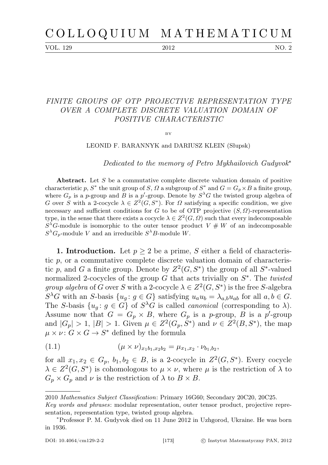VOL. 129 2012 NO. 2

## FINITE GROUPS OF OTP PROJECTIVE REPRESENTATION TYPE OVER A COMPLETE DISCRETE VALUATION DOMAIN OF POSITIVE CHARACTERISTIC

 $BV$ 

LEONID F. BARANNYK and DARIUSZ KLEIN (Słupsk)

Dedicated to the memory of Petro Mykhailovich Gudyvok<sup>∗</sup>

Abstract. Let S be a commutative complete discrete valuation domain of positive characteristic p,  $S^*$  the unit group of  $S$ ,  $\Omega$  a subgroup of  $S^*$  and  $G = G_p \times B$  a finite group, where  $G_p$  is a p-group and B is a p'-group. Denote by  $S^{\lambda}G$  the twisted group algebra of G over S with a 2-cocycle  $\lambda \in \mathbb{Z}^2(G, S^*)$ . For  $\Omega$  satisfying a specific condition, we give necessary and sufficient conditions for G to be of OTP projective  $(S, \Omega)$ -representation type, in the sense that there exists a cocycle  $\lambda \in Z^2(G, \Omega)$  such that every indecomposable  $S^{\lambda}G$ -module is isomorphic to the outer tensor product  $V \# W$  of an indecomposable  $S^{\lambda}G_p$ -module V and an irreducible  $S^{\lambda}B$ -module W.

1. Introduction. Let  $p \geq 2$  be a prime, S either a field of characteristic  $p$ , or a commutative complete discrete valuation domain of characteristic p, and G a finite group. Denote by  $Z^2(G, S^*)$  the group of all  $S^*$ -valued normalized 2-cocycles of the group  $G$  that acts trivially on  $S^*$ . The twisted *group algebra* of G over S with a 2-cocycle  $\lambda \in Z^2(G, S^*)$  is the free S-algebra  $S^{\lambda}G$  with an S-basis  $\{u_g: g \in G\}$  satisfying  $u_a u_b = \lambda_{a,b} u_{ab}$  for all  $a, b \in G$ . The S-basis  $\{u_g: g \in G\}$  of  $S^{\lambda}G$  is called *canonical* (corresponding to  $\lambda$ ). Assume now that  $G = G_p \times B$ , where  $G_p$  is a p-group, B is a p'-group and  $|G_p| > 1$ ,  $|B| > 1$ . Given  $\mu \in Z^2(G_p, S^*)$  and  $\nu \in Z^2(B, S^*)$ , the map  $\mu \times \nu$ :  $G \times G \rightarrow S^*$  defined by the formula

<span id="page-0-0"></span>(1.1) 
$$
(\mu \times \nu)_{x_1b_1, x_2b_2} = \mu_{x_1, x_2} \cdot \nu_{b_1, b_2},
$$

for all  $x_1, x_2 \in G_p$ ,  $b_1, b_2 \in B$ , is a 2-cocycle in  $Z^2(G, S^*)$ . Every cocycle  $\lambda \in Z^2(G, S^*)$  is cohomologous to  $\mu \times \nu$ , where  $\mu$  is the restriction of  $\lambda$  to  $G_p \times G_p$  and  $\nu$  is the restriction of  $\lambda$  to  $B \times B$ .

<sup>2010</sup> Mathematics Subject Classification: Primary 16G60; Secondary 20C20, 20C25.

Key words and phrases: modular representation, outer tensor product, projective representation, representation type, twisted group algebra.

<sup>∗</sup>Professor P. M. Gudyvok died on 11 June 2012 in Uzhgorod, Ukraine. He was born in 1936.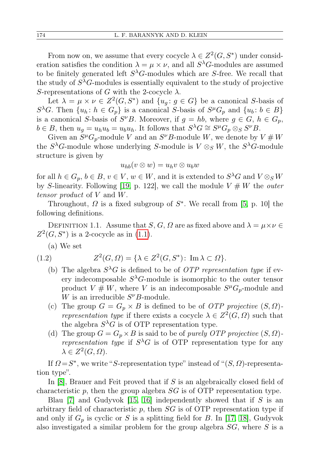From now on, we assume that every cocycle  $\lambda \in Z^2(G, S^*)$  under consideration satisfies the condition  $\lambda = \mu \times \nu$ , and all  $S^{\lambda}G$ -modules are assumed to be finitely generated left  $S^{\lambda}G$ -modules which are S-free. We recall that the study of  $S^{\lambda}G$ -modules is essentially equivalent to the study of projective S-representations of G with the 2-cocycle  $\lambda$ .

Let  $\lambda = \mu \times \nu \in Z^2(G, S^*)$  and  $\{u_g : g \in G\}$  be a canonical S-basis of  $S^{\lambda}G$ . Then  $\{u_h: h \in G_p\}$  is a canonical S-basis of  $S^{\mu}G_p$  and  $\{u_b: b \in B\}$ is a canonical S-basis of  $S^{\nu}B$ . Moreover, if  $g = hb$ , where  $g \in G$ ,  $h \in G_p$ ,  $b \in B$ , then  $u_g = u_h u_b = u_b u_h$ . It follows that  $S^{\lambda} G \cong S^{\mu} G_p \otimes_S S^{\nu} B$ .

Given an  $S^{\mu}G_p$ -module V and an  $S^{\nu}B$ -module W, we denote by  $V \# W$ the  $S^{\lambda}G$ -module whose underlying S-module is  $V \otimes_S W$ , the  $S^{\lambda}G$ -module structure is given by

$$
u_{hb}(v\otimes w)=u_hv\otimes u_bw
$$

for all  $h \in G_p$ ,  $b \in B$ ,  $v \in V$ ,  $w \in W$ , and it is extended to  $S^{\lambda}G$  and  $V \otimes_S W$ by S-linearity. Following [\[19,](#page-14-0) p. 122], we call the module  $V \# W$  the *outer* tensor product of V and W.

Throughout,  $\Omega$  is a fixed subgroup of  $S^*$ . We recall from [\[5,](#page-13-0) p. 10] the following definitions.

DEFINITION 1.1. Assume that S, G,  $\Omega$  are as fixed above and  $\lambda = \mu \times \nu \in$  $Z^2(G, S^*)$  is a 2-cocycle as in [\(1.1\)](#page-0-0).

<span id="page-1-0"></span>(a) We set

$$
(1.2) \tZ2(G,\Omega) = \{ \lambda \in Z2(G,S*): \operatorname{Im} \lambda \subset \Omega \}.
$$

- (b) The algebra  $S^{\lambda}G$  is defined to be of *OTP representation type* if every indecomposable  $S^{\lambda}G$ -module is isomorphic to the outer tensor product  $V \# W$ , where V is an indecomposable  $S^{\mu}G_{p}$ -module and W is an irreducible  $S^{\nu}B$ -module.
- (c) The group  $G = G_p \times B$  is defined to be of *OTP projective*  $(S, \Omega)$ representation type if there exists a cocycle  $\lambda \in Z^2(G, \Omega)$  such that the algebra  $S^{\lambda}G$  is of OTP representation type.
- (d) The group  $G = G_p \times B$  is said to be of *purely OTP projective*  $(S, \Omega)$ representation type if  $S^{\lambda}G$  is of OTP representation type for any  $\lambda \in Z^2(G,\Omega).$

If  $\Omega = S^*$ , we write "S-representation type" instead of " $(S, \Omega)$ -representation type".

In [\[8\]](#page-13-1), Brauer and Feit proved that if S is an algebraically closed field of characteristic p, then the group algebra  $SG$  is of OTP representation type.

Blau  $[7]$  and Gudyvok  $[15, 16]$  $[15, 16]$  independently showed that if S is an arbitrary field of characteristic  $p$ , then  $SG$  is of OTP representation type if and only if  $G_p$  is cyclic or S is a splitting field for B. In [\[17,](#page-13-5) [18\]](#page-14-1), Gudyvok also investigated a similar problem for the group algebra  $SG$ , where  $S$  is a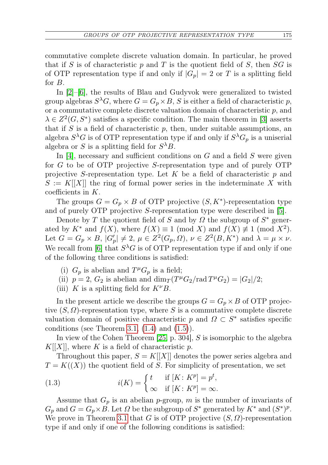commutative complete discrete valuation domain. In particular, he proved that if S is of characteristic p and T is the quotient field of S, then  $SG$  is of OTP representation type if and only if  $|G_p| = 2$  or T is a splitting field for B.

In [\[2\]](#page-13-6)–[\[6\]](#page-13-7), the results of Blau and Gudyvok were generalized to twisted group algebras  $S^{\lambda}G$ , where  $G = G_p \times B$ , S is either a field of characteristic p, or a commutative complete discrete valuation domain of characteristic  $p$ , and  $\lambda \in \mathbb{Z}^2(G, S^*)$  satisfies a specific condition. The main theorem in [\[3\]](#page-13-8) asserts that if  $S$  is a field of characteristic  $p$ , then, under suitable assumptions, an algebra  $S^{\lambda}G$  is of OTP representation type if and only if  $S^{\lambda}G_p$  is a uniserial algebra or S is a splitting field for  $S^{\lambda}B$ .

In  $|4|$ , necessary and sufficient conditions on G and a field S were given for G to be of OTP projective S-representation type and of purely OTP projective S-representation type. Let K be a field of characteristic  $p$  and  $S := K[[X]]$  the ring of formal power series in the indeterminate X with coefficients in  $K$ .

The groups  $G = G_p \times B$  of OTP projective  $(S, K^*)$ -representation type and of purely OTP projective S-representation type were described in [\[5\]](#page-13-0).

Denote by T the quotient field of S and by  $\Omega$  the subgroup of  $S^*$  generated by  $K^*$  and  $f(X)$ , where  $f(X) \equiv 1 \pmod{X}$  and  $f(X) \not\equiv 1 \pmod{X^2}$ . Let  $G = G_p \times B$ ,  $|G'_p| \neq 2$ ,  $\mu \in Z^2(G_p, \Omega)$ ,  $\nu \in Z^2(B, K^*)$  and  $\lambda = \mu \times \nu$ . We recall from [\[6\]](#page-13-7) that  $S^{\lambda}G$  is of OTP representation type if and only if one of the following three conditions is satisfied:

- (i)  $G_p$  is a belian and  $T^{\mu}G_p$  is a field;
- (ii)  $p = 2$ ,  $G_2$  is abelian and  $\dim_T(T^{\mu}G_2) \cdot \text{rad } T^{\mu}G_2) = |G_2|/2;$
- (iii) K is a splitting field for  $K^{\nu}B$ .

In the present article we describe the groups  $G = G_p \times B$  of OTP projective  $(S, \Omega)$ -representation type, where S is a commutative complete discrete valuation domain of positive characteristic p and  $\Omega \subset S^*$  satisfies specific conditions (see Theorem [3.1,](#page-7-0)  $(1.4)$  and  $(1.5)$ ).

In view of the Cohen Theorem [\[25,](#page-14-2) p. 304], S is isomorphic to the algebra  $K[[X]]$ , where K is a field of characteristic p.

Throughout this paper,  $S = K[[X]]$  denotes the power series algebra and  $T = K((X))$  the quotient field of S. For simplicity of presentation, we set

<span id="page-2-0"></span>(1.3) 
$$
i(K) = \begin{cases} t & \text{if } [K:K^p] = p^t, \\ \infty & \text{if } [K:K^p] = \infty. \end{cases}
$$

Assume that  $G_p$  is an abelian p-group, m is the number of invariants of  $G_p$  and  $G = G_p \times B$ . Let  $\Omega$  be the subgroup of  $S^*$  generated by  $K^*$  and  $(S^*)^p$ . We prove in Theorem [3.1](#page-7-0) that G is of OTP projective  $(S, \Omega)$ -representation type if and only if one of the following conditions is satisfied: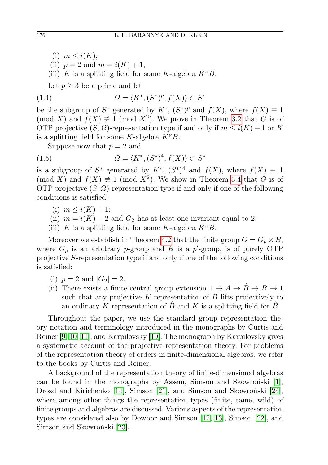- (i)  $m \leq i(K);$
- (ii)  $p = 2$  and  $m = i(K) + 1$ ;

(iii) K is a splitting field for some K-algebra  $K^{\nu}B$ .

<span id="page-3-0"></span>Let  $p \geq 3$  be a prime and let

(1.4) 
$$
\Omega = \langle K^*, (S^*)^p, f(X) \rangle \subset S^*
$$

be the subgroup of  $S^*$  generated by  $K^*$ ,  $(S^*)^p$  and  $f(X)$ , where  $f(X) \equiv 1$ (mod X) and  $f(X) \neq 1 \pmod{X^2}$ . We prove in Theorem [3.2](#page-8-0) that G is of OTP projective  $(S, \Omega)$ -representation type if and only if  $m \leq i(K) + 1$  or K is a splitting field for some K-algebra  $K^{\nu}B$ .

<span id="page-3-1"></span>Suppose now that  $p = 2$  and

(1.5) 
$$
\Omega = \langle K^*, (S^*)^4, f(X) \rangle \subset S^*
$$

is a subgroup of  $S^*$  generated by  $K^*$ ,  $(S^*)^4$  and  $f(X)$ , where  $f(X) \equiv 1$ (mod X) and  $f(X) \neq 1 \pmod{X^2}$ . We show in Theorem [3.4](#page-9-0) that G is of OTP projective  $(S, \Omega)$ -representation type if and only if one of the following conditions is satisfied:

(i) 
$$
m \leq i(K) + 1;
$$

- (ii)  $m = i(K) + 2$  and  $G_2$  has at least one invariant equal to 2;
- (iii) K is a splitting field for some K-algebra  $K^{\nu}B$ .

Moreover we establish in Theorem [4.2](#page-12-0) that the finite group  $G = G_p \times B$ , where  $G_p$  is an arbitrary p-group and B is a p'-group, is of purely OTP projective S-representation type if and only if one of the following conditions is satisfied:

- (i)  $p = 2$  and  $|G_2| = 2$ .
- (ii) There exists a finite central group extension  $1 \rightarrow A \rightarrow \overline{B} \rightarrow B \rightarrow 1$ such that any projective  $K$ -representation of  $B$  lifts projectively to an ordinary K-representation of B and K is a splitting field for B.

Throughout the paper, we use the standard group representation theory notation and terminology introduced in the monographs by Curtis and Reiner [\[9,](#page-13-10) [10,](#page-13-11) [11\]](#page-13-12), and Karpilovsky [\[19\]](#page-14-0). The monograph by Karpilovsky gives a systematic account of the projective representation theory. For problems of the representation theory of orders in finite-dimensional algebras, we refer to the books by Curtis and Reiner.

A background of the representation theory of finite-dimensional algebras can be found in the monographs by Assem, Simson and Skowroński [\[1\]](#page-13-13), Drozd and Kirichenko [\[14\]](#page-13-14), Simson [\[21\]](#page-14-3), and Simson and Skowroński [\[24\]](#page-14-4), where among other things the representation types (finite, tame, wild) of finite groups and algebras are discussed. Various aspects of the representation types are considered also by Dowbor and Simson [\[12,](#page-13-15) [13\]](#page-13-16), Simson [\[22\]](#page-14-5), and Simson and Skowroński [\[23\]](#page-14-6).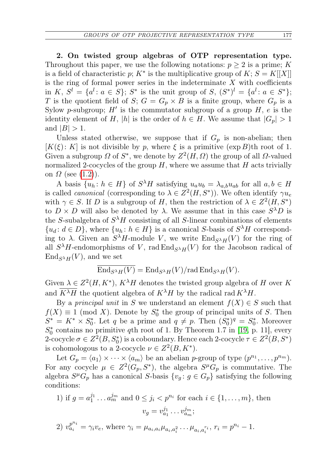2. On twisted group algebras of OTP representation type. Throughout this paper, we use the following notations:  $p \geq 2$  is a prime; K is a field of characteristic p;  $K^*$  is the multiplicative group of  $K; S = K[[X]]$ is the ring of formal power series in the indeterminate  $X$  with coefficients in K,  $S^l = \{a^l : a \in S\}$ ;  $S^*$  is the unit group of  $S, (S^*)^l = \{a^l : a \in S^*\}$ ; T is the quotient field of S;  $G = G_p \times B$  is a finite group, where  $G_p$  is a Sylow p-subgroup;  $H'$  is the commutator subgroup of a group  $H$ , e is the identity element of H, |h| is the order of  $h \in H$ . We assume that  $|G_p| > 1$ and  $|B| > 1$ .

Unless stated otherwise, we suppose that if  $G_p$  is non-abelian; then  $[K(\xi): K]$  is not divisible by p, where  $\xi$  is a primitive  $(\exp B)$ th root of 1. Given a subgroup  $\Omega$  of  $S^*$ , we denote by  $Z^2(H, \Omega)$  the group of all  $\Omega$ -valued normalized 2-cocycles of the group  $H$ , where we assume that  $H$  acts trivially on  $\Omega$  (see [\(1.2\)](#page-1-0)).

A basis  $\{u_h: h \in H\}$  of  $S^{\lambda}H$  satisfying  $u_a u_b = \lambda_{a,b} u_{ab}$  for all  $a, b \in H$ is called *canonical* (corresponding to  $\lambda \in Z^2(H, S^*)$ ). We often identify  $\gamma u_{\epsilon}$ with  $\gamma \in S$ . If D is a subgroup of H, then the restriction of  $\lambda \in Z^2(H, S^*)$ to  $D \times D$  will also be denoted by  $\lambda$ . We assume that in this case  $S^{\lambda}D$  is the S-subalgebra of  $S^{\lambda}H$  consisting of all S-linear combinations of elements  $\{u_d: d \in D\}$ , where  $\{u_h: h \in H\}$  is a canonical S-basis of  $S^{\lambda}H$  corresponding to  $\lambda$ . Given an  $S^{\lambda}H$ -module V, we write  $\text{End}_{S^{\lambda}H}(V)$  for the ring of all  $S^{\lambda}H$ -endomorphisms of V, rad  $\text{End}_{S^{\lambda}H}(V)$  for the Jacobson radical of  $\text{End}_{S^{\lambda}H}(V)$ , and we set

$$
\overline{\mathrm{End}_{S^\lambda H}(V)} = \mathrm{End}_{S^\lambda H}(V)/\mathrm{rad}\,\mathrm{End}_{S^\lambda H}(V).
$$

Given  $\lambda \in Z^2(H, K^*)$ ,  $K^{\lambda}H$  denotes the twisted group algebra of H over K and  $K^{\lambda} \overline{H}$  the quotient algebra of  $K^{\lambda} H$  by the radical rad  $K^{\lambda} H$ .

By a principal unit in S we understand an element  $f(X) \in S$  such that  $f(X) \equiv 1 \pmod{X}$ . Denote by  $S_0^*$  the group of principal units of S. Then  $S^* = K^* \times S_0^*$ . Let q be a prime and  $q \neq p$ . Then  $(S_0^*)^q = S_0^*$ . Moreover  $S_0^*$  contains no primitive qth root of 1. By Theorem 1.7 in [\[19,](#page-14-0) p. 11], every 2-cocycle  $\sigma \in Z^2(B,S^*_0)$  is a coboundary. Hence each 2-cocycle  $\tau \in Z^2(B,S^*)$ is cohomologous to a 2-cocycle  $\nu \in Z^2(B, K^*)$ .

Let  $G_p = \langle a_1 \rangle \times \cdots \times \langle a_m \rangle$  be an abelian p-group of type  $(p^{n_1}, \ldots, p^{n_m})$ . For any cocycle  $\mu \in Z^2(G_p, S^*)$ , the algebra  $S^{\mu}G_p$  is commutative. The algebra  $S^{\mu}G_{p}$  has a canonical S-basis  $\{v_{g}: g \in G_{p}\}\$  satisfying the following conditions:

1) if 
$$
g = a_1^{j_1} \dots a_m^{j_m}
$$
 and  $0 \le j_i < p^{n_i}$  for each  $i \in \{1, \dots, m\}$ , then  

$$
v_g = v_{a_1}^{j_1} \dots v_{a_m}^{j_m};
$$

2) 
$$
v_{a_i}^{p^{n_i}} = \gamma_i v_e
$$
, where  $\gamma_i = \mu_{a_i, a_i} \mu_{a_i, a_i^2} \dots \mu_{a_i, a_i^{r_i}}$ ,  $r_i = p^{n_i} - 1$ .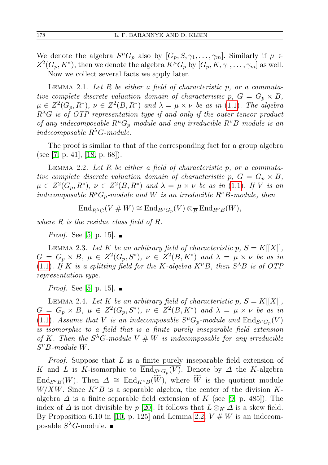We denote the algebra  $S^{\mu}G_p$  also by  $[G_p, S, \gamma_1, \ldots, \gamma_m]$ . Similarly if  $\mu \in$  $Z^2(G_p, K^*)$ , then we denote the algebra  $K^{\mu}G_p$  by  $[G_p, K, \gamma_1, \ldots, \gamma_m]$  as well. Now we collect several facts we apply later.

<span id="page-5-1"></span>LEMMA 2.1. Let  $R$  be either a field of characteristic p, or a commutative complete discrete valuation domain of characteristic p,  $G = G_p \times B$ ,  $\mu \in Z^2(G_p, R^*)$ ,  $\nu \in Z^2(B, R^*)$  and  $\lambda = \mu \times \nu$  be as in [\(1.1\)](#page-0-0). The algebra  $R^{\lambda}G$  is of OTP representation type if and only if the outer tensor product of any indecomposable  $R^{\mu}G_{p}$ -module and any irreducible  $R^{\nu}B$ -module is an indecomposable  $R^{\lambda}G$ -module.

The proof is similar to that of the corresponding fact for a group algebra (see [\[7,](#page-13-2) p. 41], [\[18,](#page-14-1) p. 68]).

<span id="page-5-0"></span>LEMMA 2.2. Let  $R$  be either a field of characteristic  $p$ , or a commutative complete discrete valuation domain of characteristic p,  $G = G_p \times B$ ,  $\mu \in Z^2(G_p, R^*)$ ,  $\nu \in Z^2(B, R^*)$  and  $\lambda = \mu \times \nu$  be as in [\(1.1\)](#page-0-0). If V is an indecomposable  $R^{\mu}G_p$ -module and W is an irreducible  $R^{\nu}B$ -module, then

$$
\overline{\operatorname{End}_{R^\lambda G}(V\# W)}\cong \overline{\operatorname{End}_{R^\mu G_p}(V)}\otimes_{\overline{R}} \overline{\operatorname{End}_{R^\nu B}(W)},
$$

where  $\overline{R}$  is the residue class field of R.

*Proof.* See [\[5,](#page-13-0) p. 15].  $\blacksquare$ 

<span id="page-5-4"></span>LEMMA 2.3. Let K be an arbitrary field of characteristic p,  $S = K[[X]]$ ,  $G = G_p \times B$ ,  $\mu \in Z^2(G_p, S^*)$ ,  $\nu \in Z^2(B, K^*)$  and  $\lambda = \mu \times \nu$  be as in [\(1.1\)](#page-0-0). If K is a splitting field for the K-algebra  $K^{\nu}B$ , then  $S^{\lambda}B$  is of OTF representation type.

*Proof.* See [\[5,](#page-13-0) p. 15].  $\blacksquare$ 

<span id="page-5-2"></span>LEMMA 2.4. Let K be an arbitrary field of characteristic p,  $S = K[[X]]$ ,  $G = G_p \times B$ ,  $\mu \in Z^2(G_p, S^*)$ ,  $\nu \in Z^2(B, K^*)$  and  $\lambda = \mu \times \nu$  be as in [\(1.1\)](#page-0-0). Assume that V is an indecomposable  $S^{\mu}G_p$ -module and  $\overline{\text{End}_{S^{\mu}G_p}(V)}$ is isomorphic to a field that is a finite purely inseparable field extension of K. Then the  $S^{\lambda}G$ -module  $V \# W$  is indecomposable for any irreducible  $S^{\nu}B$ -module W.

<span id="page-5-3"></span>*Proof.* Suppose that  $L$  is a finite purely inseparable field extension of K and L is K-isomorphic to  $\text{End}_{S^{\mu}G_p}(V)$ . Denote by  $\Delta$  the K-algebra  $\overline{\text{End}_{S^{\nu}B}(W)}$ . Then  $\Delta \cong \text{End}_{K^{\nu}B}(W)$ , where W is the quotient module  $W/XW$ . Since  $K^{\nu}B$  is a separable algebra, the center of the division Kalgebra  $\Delta$  is a finite separable field extension of K (see [\[9,](#page-13-10) p. 485]). The index of  $\Delta$  is not divisible by p [\[20\]](#page-14-7). It follows that  $L \otimes_K \Delta$  is a skew field. By Proposition 6.10 in [\[10,](#page-13-11) p. 125] and Lemma [2.2,](#page-5-0)  $V \# W$  is an indecomposable  $S^{\lambda}G$ -module.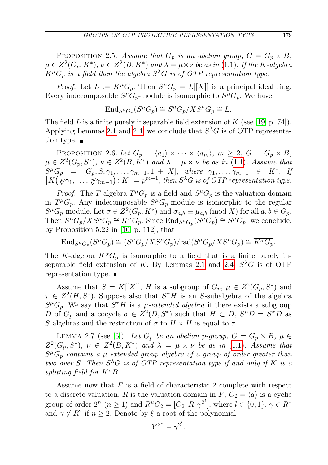PROPOSITION 2.5. Assume that  $G_p$  is an abelian group,  $G = G_p \times B$ ,  $\mu \in Z^2(G_p,K^*), \nu \in Z^2(B,K^*)$  and  $\lambda = \mu \times \nu$  be as in [\(1.1\)](#page-0-0). If the K-algebra  $K^{\mu}G_{p}$  is a field then the algebra  $S^{\lambda}G$  is of OTP representation type.

*Proof.* Let  $L := K^{\mu}G_p$ . Then  $S^{\mu}G_p = L[[X]]$  is a principal ideal ring. Every indecomposable  $S^{\mu}G_{p}$ -module is isomorphic to  $S^{\mu}G_{p}$ . We have

$$
\overline{\mathrm{End}_{S^{\mu}G_p}(S^{\mu}G_p)} \cong S^{\mu}G_p/XS^{\mu}G_p \cong L.
$$

The field L is a finite purely inseparable field extension of  $K$  (see [\[19,](#page-14-0) p. 74]). Applying Lemmas [2.1](#page-5-1) and [2.4,](#page-5-2) we conclude that  $S^{\lambda}G$  is of OTP representation type.  $\blacksquare$ 

<span id="page-6-1"></span>PROPOSITION 2.6. Let  $G_p = \langle a_1 \rangle \times \cdots \times \langle a_m \rangle$ ,  $m \geq 2$ ,  $G = G_p \times B$ ,  $\mu \in Z^2(G_p, S^*)$ ,  $\nu \in Z^2(B, K^*)$  and  $\lambda = \mu \times \nu$  be as in [\(1.1\)](#page-0-0). Assume that  $S^{\mu}G_p = [G_p, S, \gamma_1, \ldots, \gamma_{m-1}, 1 + X],$  where  $\gamma_1, \ldots, \gamma_{m-1} \in K^*$ . If  $K[\chi(\sqrt[p]{\gamma_1}, \ldots, \sqrt[p]{\gamma_{m-1}}):K] = p^{m-1},$  then  $S^{\lambda}G$  is of OTP representation type.

*Proof.* The T-algebra  $T^{\mu}G_p$  is a field and  $S^{\mu}G_p$  is the valuation domain in  $T^{\mu}G_p$ . Any indecomposable  $S^{\mu}G_p$ -module is isomorphic to the regular  $S^{\mu}G_{p}$ -module. Let  $\sigma \in Z^{2}(G_{p}, K^{*})$  and  $\sigma_{a,b} \equiv \mu_{a,b} \pmod{X}$  for all  $a, b \in G_{p}$ . Then  $S^{\mu}G_p/XS^{\mu}G_p \cong K^{\sigma}G_p$ . Since  $\text{End}_{S^{\mu}G_p}(S^{\mu}G_p) \cong S^{\mu}G_p$ , we conclude, by Proposition 5.22 in [\[10,](#page-13-11) p. 112], that

$$
\overline{\mathrm{End}_{S^{\mu}G_p}(S^{\mu}G_p)} \cong (S^{\mu}G_p/XS^{\mu}G_p)/\mathrm{rad}(S^{\mu}G_p/XS^{\mu}G_p) \cong \overline{K^{\sigma}G_p}.
$$

The K-algebra  $\overline{K^{\sigma}G_p}$  is isomorphic to a field that is a finite purely in-separable field extension of K. By Lemmas [2.1](#page-5-1) and [2.4,](#page-5-2)  $S^{\lambda}G$  is of OTP representation type.

Assume that  $S = K[[X]], H$  is a subgroup of  $G_p$ ,  $\mu \in Z^2(G_p, S^*)$  and  $\tau \in Z^2(H, S^*)$ . Suppose also that  $S^{\tau}H$  is an S-subalgebra of the algebra  $S^{\mu}G_{p}$ . We say that  $S^{\tau}H$  is a  $\mu$ -extended algebra if there exists a subgroup D of  $G_p$  and a cocycle  $\sigma \in Z^2(D, S^*)$  such that  $H \subset D$ ,  $S^{\mu}D = S^{\sigma}D$  as S-algebras and the restriction of  $\sigma$  to  $H \times H$  is equal to  $\tau$ .

<span id="page-6-0"></span>LEMMA 2.7 (see [\[6\]](#page-13-7)). Let  $G_p$  be an abelian p-group,  $G = G_p \times B$ ,  $\mu \in$  $Z^2(G_p, S^*)$ ,  $\nu \in Z^2(B, K^*)$  and  $\lambda = \mu \times \nu$  be as in [\(1.1\)](#page-0-0). Assume that  $S^{\mu}G_{p}$  contains a  $\mu$ -extended group algebra of a group of order greater than two over S. Then  $S^{\lambda}G$  is of OTP representation type if and only if K is a splitting field for  $K^{\nu}B$ .

Assume now that  $F$  is a field of characteristic 2 complete with respect to a discrete valuation, R is the valuation domain in F,  $G_2 = \langle a \rangle$  is a cyclic group of order  $2^n$   $(n \ge 1)$  and  $R^{\mu}G_2 = [G_2, R, \gamma^{2^l}]$ , where  $l \in \{0, 1\}$ ,  $\gamma \in R^*$ and  $\gamma \notin \mathbb{R}^2$  if  $n \geq 2$ . Denote by  $\xi$  a root of the polynomial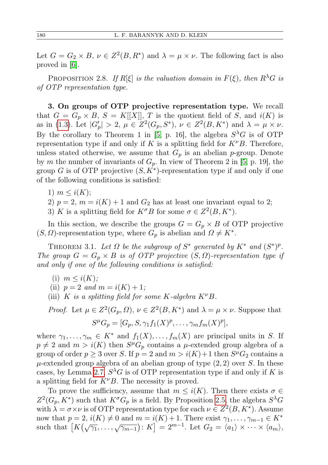Let  $G = G_2 \times B$ ,  $\nu \in Z^2(B, R^*)$  and  $\lambda = \mu \times \nu$ . The following fact is also proved in [\[6\]](#page-13-7).

<span id="page-7-1"></span>PROPOSITION 2.8. If  $R[\xi]$  is the valuation domain in  $F(\xi)$ , then  $R^{\lambda}G$  is of OTP representation type.

3. On groups of OTP projective representation type. We recall that  $G = G_p \times B$ ,  $S = K[[X]], T$  is the quotient field of S, and  $i(K)$  is as in [\(1.3\)](#page-2-0). Let  $|G'_p| > 2$ ,  $\mu \in Z^2(G_p, S^*)$ ,  $\nu \in Z^2(B, K^*)$  and  $\lambda = \mu \times \nu$ . By the corollary to Theorem 1 in [\[5,](#page-13-0) p. 16], the algebra  $S^{\lambda}G$  is of OTP representation type if and only if K is a splitting field for  $K^{\nu}B$ . Therefore, unless stated otherwise, we assume that  $G_p$  is an abelian p-group. Denote by m the number of invariants of  $G_p$ . In view of Theorem 2 in [\[5,](#page-13-0) p. 19], the group G is of OTP projective  $(S, K^*)$ -representation type if and only if one of the following conditions is satisfied:

- 1)  $m \leq i(K);$
- 2)  $p = 2$ ,  $m = i(K) + 1$  and  $G_2$  has at least one invariant equal to 2;
- 3) K is a splitting field for  $K^{\sigma}B$  for some  $\sigma \in Z^2(B, K^*)$ .

In this section, we describe the groups  $G = G_p \times B$  of OTP projective  $(S, \Omega)$ -representation type, where  $G_p$  is abelian and  $\Omega \neq K^*$ .

<span id="page-7-0"></span>THEOREM 3.1. Let  $\Omega$  be the subgroup of  $S^*$  generated by  $K^*$  and  $(S^*)^p$ . The group  $G = G_p \times B$  is of OTP projective  $(S, \Omega)$ -representation type if and only if one of the following conditions is satisfied:

- (i)  $m \leq i(K);$
- (ii)  $p = 2$  and  $m = i(K) + 1$ ;
- (iii) K is a splitting field for some K-algebra  $K^{\nu}B$ .

*Proof.* Let  $\mu \in Z^2(G_p, \Omega)$ ,  $\nu \in Z^2(B, K^*)$  and  $\lambda = \mu \times \nu$ . Suppose that  $S^{\mu}G_{p} = [G_{p}, S, \gamma_{1}f_{1}(X)^{p}, \ldots, \gamma_{m}f_{m}(X)^{p}],$ 

where  $\gamma_1, \ldots, \gamma_m \in K^*$  and  $f_1(X), \ldots, f_m(X)$  are principal units in S. If  $p \neq 2$  and  $m > i(K)$  then  $S^{\mu}G_{p}$  contains a  $\mu$ -extended group algebra of a group of order  $p \ge 3$  over S. If  $p = 2$  and  $m > i(K) + 1$  then  $S<sup>\mu</sup>G<sub>2</sub>$  contains a  $\mu$ -extended group algebra of an abelian group of type  $(2, 2)$  over S. In these cases, by Lemma [2.7,](#page-6-0)  $S^{\lambda}G$  is of OTP representation type if and only if K is a splitting field for  $K^{\nu}B$ . The necessity is proved.

To prove the sufficiency, assume that  $m \leq i(K)$ . Then there exists  $\sigma \in$  $Z^2(G_p, K^*)$  such that  $K^{\sigma}G_p$  is a field. By Proposition [2.5,](#page-5-3) the algebra  $S^{\lambda}G$ with  $\lambda = \sigma \times \nu$  is of OTP representation type for each  $\nu \in Z^2(B, K^*)$ . Assume now that  $p = 2$ ,  $i(K) \neq 0$  and  $m = i(K) + 1$ . There exist  $\gamma_1, \ldots, \gamma_{m-1} \in K^*$ such that  $[K(\sqrt{\gamma_1}, ..., \sqrt{\gamma_{m-1}}): K] = 2^{m-1}$ . Let  $G_2 = \langle a_1 \rangle \times \cdots \times \langle a_m \rangle$ ,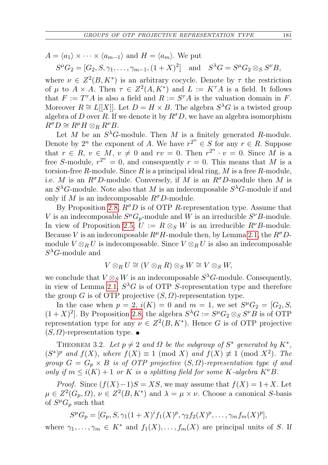$A = \langle a_1 \rangle \times \cdots \times \langle a_{m-1} \rangle$  and  $H = \langle a_m \rangle$ . We put

 $S^{\mu}G_2 = [G_2, S, \gamma_1, \dots, \gamma_{m-1}, (1+X)^2]$  and  $S^{\lambda}G = S^{\mu}G_2 \otimes_S S^{\nu}B$ ,

where  $\nu \in Z^2(B, K^*)$  is an arbitrary cocycle. Denote by  $\tau$  the restriction of  $\mu$  to  $A \times A$ . Then  $\tau \in Z^2(A, K^*)$  and  $L := K^{\tau}A$  is a field. It follows that  $F := T^{\tau} A$  is also a field and  $R := S^{\tau} A$  is the valuation domain in F. Moreover  $R \cong L[[X]]$ . Let  $D = H \times B$ . The algebra  $S^{\lambda}G$  is a twisted group algebra of D over R. If we denote it by  $R^{\sigma}D$ , we have an algebra isomorphism  $R^{\sigma}D \cong R^{\mu}H \otimes_R R^{\nu}B.$ 

Let M be an  $S^{\lambda}G$ -module. Then M is a finitely generated R-module. Denote by  $2^n$  the exponent of A. We have  $r^{2^n} \in S$  for any  $r \in R$ . Suppose that  $r \in R$ ,  $v \in M$ ,  $v \neq 0$  and  $rv = 0$ . Then  $r^{2^n} \cdot v = 0$ . Since M is a free S-module,  $r^{2^n} = 0$ , and consequently  $r = 0$ . This means that M is a torsion-free R-module. Since R is a principal ideal ring,  $M$  is a free R-module, i.e. M is an  $R^{\sigma}D$ -module. Conversely, if M is an  $R^{\sigma}D$ -module then M is an  $S^{\lambda}G$ -module. Note also that M is an indecomposable  $S^{\lambda}G$ -module if and only if M is an indecomposable  $R^{\sigma}D$ -module.

By Proposition [2.8,](#page-7-1)  $R^{\sigma}D$  is of OTP R-representation type. Assume that V is an indecomposable  $S^{\mu}G_{p}$ -module and W is an irreducible  $S^{\nu}B$ -module. In view of Proposition [2.5,](#page-5-3)  $U := R \otimes_S W$  is an irreducible  $R^{\nu}B$ -module. Because V is an indecomposable  $R^{\mu}H$ -module then, by Lemma [2.1,](#page-5-1) the  $R^{\sigma}D$ module  $V \otimes_R U$  is indecomposable. Since  $V \otimes_R U$  is also an indecomposable  $S^{\lambda}$ G-module and

$$
V\otimes_R U\cong (V\otimes_R R)\otimes_S W\cong V\otimes_S W,
$$

we conclude that  $V \otimes_S W$  is an indecomposable  $S^{\lambda}G$ -module. Consequently, in view of Lemma [2.1,](#page-5-1)  $S^{\lambda}G$  is of OTP S-representation type and therefore the group G is of OTP projective  $(S, \Omega)$ -representation type.

In the case when  $p = 2$ ,  $i(K) = 0$  and  $m = 1$ , we set  $S^{\mu}G_2 = [G_2, S_1]$  $(1+X)^2$ . By Proposition [2.8,](#page-7-1) the algebra  $S^{\lambda}G := S^{\mu}G_2 \otimes_S S^{\nu}B$  is of OTP representation type for any  $\nu \in Z^2(B, K^*)$ . Hence G is of OTP projective  $(S, \Omega)$ -representation type.

<span id="page-8-0"></span>THEOREM 3.2. Let  $p \neq 2$  and  $\Omega$  be the subgroup of  $S^*$  generated by  $K^*$ ,  $(S^*)^p$  and  $f(X)$ , where  $f(X) \equiv 1 \pmod{X}$  and  $f(X) \not\equiv 1 \pmod{X^2}$ . The group  $G = G_p \times B$  is of OTP projective  $(S, \Omega)$ -representation type if and only if  $m \leq i(K) + 1$  or K is a splitting field for some K-algebra  $K^{\nu}B$ .

*Proof.* Since  $(f(X)-1)S = KS$ , we may assume that  $f(X) = 1+X$ . Let  $\mu \in Z^2(G_p, \Omega)$ ,  $\nu \in Z^2(B, K^*)$  and  $\lambda = \mu \times \nu$ . Choose a canonical S-basis of  $S^{\mu}G_{p}$  such that

 $S^{\mu}G_{p} = [G_{p}, S, \gamma_{1}(1+X)^{i}f_{1}(X)^{p}, \gamma_{2}f_{2}(X)^{p}, \ldots, \gamma_{m}f_{m}(X)^{p}],$ 

where  $\gamma_1, \ldots, \gamma_m \in K^*$  and  $f_1(X), \ldots, f_m(X)$  are principal units of S. If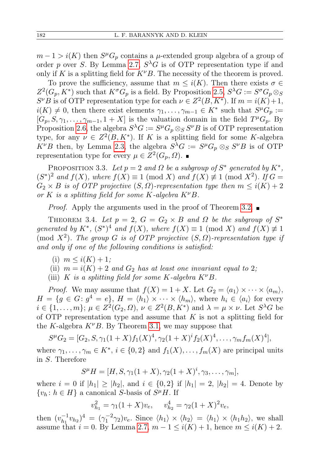$m-1 > i(K)$  then  $S^{\mu}G_{p}$  contains a  $\mu$ -extended group algebra of a group of order p over S. By Lemma [2.7,](#page-6-0)  $S^{\lambda}G$  is of OTP representation type if and only if K is a splitting field for  $K^{\nu}B$ . The necessity of the theorem is proved.

To prove the sufficiency, assume that  $m \leq i(K)$ . Then there exists  $\sigma \in$  $Z^2(G_p, K^*)$  such that  $K^{\sigma}G_p$  is a field. By Proposition [2.5,](#page-5-3)  $S^{\lambda}G := S^{\sigma}G_p \otimes_S$  $S^{\nu}B$  is of OTP representation type for each  $\nu \in Z^2(B, K^*)$ . If  $m = i(K)+1$ ,  $i(K) \neq 0$ , then there exist elements  $\gamma_1, \ldots, \gamma_{m-1} \in K^*$  such that  $S^{\mu}G_p :=$  $[G_p, S, \gamma_1, \ldots, \gamma_{m-1}, 1+X]$  is the valuation domain in the field  $T^{\mu}G_p$ . By Proposition [2.6,](#page-6-1) the algebra  $S^{\lambda}G := S^{\mu}G_{p} \otimes_{S} S^{\nu}B$  is of OTP representation type, for any  $\nu \in Z^2(B, K^*)$ . If K is a splitting field for some K-algebra  $K^{\nu}B$  then, by Lemma [2.3,](#page-5-4) the algebra  $S^{\lambda}G := S^{\mu}G_{p} \otimes_{S} S^{\nu}B$  is of OTP representation type for every  $\mu \in Z^2(G_p, \Omega)$ .

PROPOSITION 3.3. Let  $p = 2$  and  $\Omega$  be a subgroup of  $S^*$  generated by  $K^*$ ,  $(S^*)^2$  and  $f(X)$ , where  $f(X) \equiv 1 \pmod{X}$  and  $f(X) \not\equiv 1 \pmod{X^2}$ . If  $G =$  $G_2 \times B$  is of OTP projective  $(S, \Omega)$ -representation type then  $m \leq i(K) + 2$ or K is a splitting field for some K-algebra  $K^{\nu}B$ .

*Proof.* Apply the arguments used in the proof of Theorem [3.2.](#page-8-0)  $\blacksquare$ 

<span id="page-9-0"></span>THEOREM 3.4. Let  $p = 2$ ,  $G = G_2 \times B$  and  $\Omega$  be the subgroup of  $S^*$ generated by  $K^*$ ,  $(S^*)^4$  and  $f(X)$ , where  $f(X) \equiv 1 \pmod{X}$  and  $f(X) \not\equiv 1$ (mod  $X^2$ ). The group G is of OTP projective  $(S, \Omega)$ -representation type if and only if one of the following conditions is satisfied:

- (i)  $m \leq i(K) + 1$ ;
- (ii)  $m = i(K) + 2$  and  $G_2$  has at least one invariant equal to 2;
- (iii) K is a splitting field for some K-algebra  $K^{\nu}B$ .

*Proof.* We may assume that  $f(X) = 1 + X$ . Let  $G_2 = \langle a_1 \rangle \times \cdots \times \langle a_m \rangle$ ,  $H = \{g \in G : g^4 = e\}, H = \langle h_1 \rangle \times \cdots \times \langle h_m \rangle$ , where  $h_i \in \langle a_i \rangle$  for every  $i \in \{1, \ldots, m\}; \, \mu \in \mathbb{Z}^2(G_2, \Omega), \, \nu \in \mathbb{Z}^2(B, K^*)$  and  $\lambda = \mu \times \nu$ . Let  $S^{\lambda}G$  be of OTP representation type and assume that  $K$  is not a splitting field for the K-algebra  $K^{\nu}B$ . By Theorem [3.1,](#page-7-0) we may suppose that

$$
S^{\mu}G_2 = [G_2, S, \gamma_1(1+X) f_1(X)^4, \gamma_2(1+X)^{i} f_2(X)^4, \dots, \gamma_m f_m(X)^4],
$$

where  $\gamma_1, \ldots, \gamma_m \in K^*$ ,  $i \in \{0, 2\}$  and  $f_1(X), \ldots, f_m(X)$  are principal units in S. Therefore

$$
S^{\mu}H = [H, S, \gamma_1(1+X), \gamma_2(1+X)^i, \gamma_3, \dots, \gamma_m],
$$

where  $i = 0$  if  $|h_1| \geq |h_2|$ , and  $i \in \{0, 2\}$  if  $|h_1| = 2$ ,  $|h_2| = 4$ . Denote by  $\{v_h: h \in H\}$  a canonical S-basis of  $S^{\mu}H$ . If

$$
v_{h_1}^2 = \gamma_1 (1+X) v_e, \quad v_{h_2}^4 = \gamma_2 (1+X)^2 v_e,
$$

then  $(v_{h_1}^{-1})$  $\bar{h}_1^{-1}v_{h_2}$ )<sup>4</sup> =  $(\gamma_1^{-2}\gamma_2)v_e$ . Since  $\langle h_1 \rangle \times \langle h_2 \rangle = \langle h_1 \rangle \times \langle h_1 h_2 \rangle$ , we shall assume that  $i = 0$ . By Lemma [2.7,](#page-6-0)  $m - 1 \leq i(K) + 1$ , hence  $m \leq i(K) + 2$ .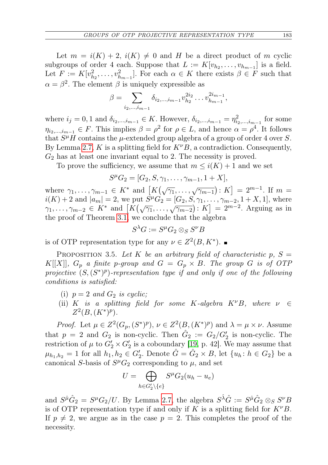Let  $m = i(K) + 2$ ,  $i(K) \neq 0$  and H be a direct product of m cyclic subgroups of order 4 each. Suppose that  $L := K[v_{h_2}, \ldots, v_{h_{m-1}}]$  is a field. Let  $F := K[v_{h_2}^2, \ldots, v_{h_{m-1}}^2]$ . For each  $\alpha \in K$  there exists  $\beta \in F$  such that  $\alpha = \beta^2$ . The element  $\beta$  is uniquely expressible as

$$
\beta = \sum_{i_2,\dots,i_{m-1}} \delta_{i_2,\dots,i_{m-1}} v_{h_2}^{2i_2} \dots v_{h_{m-1}}^{2i_{m-1}},
$$

where  $i_j = 0, 1$  and  $\delta_{i_2,...,i_{m-1}} \in K$ . However,  $\delta_{i_2,...,i_{m-1}} = \eta_{i_2,...,i_{m-1}}^2$  for some  $\eta_{i_2,\dots,i_{m-1}} \in F$ . This implies  $\beta = \rho^2$  for  $\rho \in L$ , and hence  $\alpha = \rho^4$ . It follows that  $S^{\mu}H$  contains the  $\mu$ -extended group algebra of a group of order 4 over S. By Lemma [2.7,](#page-6-0) K is a splitting field for  $K^{\nu}B$ , a contradiction. Consequently,  $G_2$  has at least one invariant equal to 2. The necessity is proved.

To prove the sufficiency, we assume that  $m \leq i(K) + 1$  and we set

$$
S^{\mu}G_2 = [G_2, S, \gamma_1, \dots, \gamma_{m-1}, 1+X],
$$

where  $\gamma_1, \ldots, \gamma_{m-1} \in K^*$  and  $[K(\sqrt{\gamma_1}, \ldots, \sqrt{\gamma_{m-1}}): K] = 2^{m-1}$ . If  $m =$  $i(K) + 2$  and  $|a_m| = 2$ , we put  $S^{\mu}G_2 = [G_2, S, \gamma_1, \ldots, \gamma_{m-2}, 1 + X, 1]$ , where  $\gamma_1, \ldots, \gamma_{m-2} \in K^*$  and  $[K(\sqrt{\gamma_1}, \ldots, \sqrt{\gamma_{m-2}}): K] = 2^{m-2}$ . Arguing as in the proof of Theorem [3.1,](#page-7-0) we conclude that the algebra

$$
S^{\lambda}G := S^{\mu}G_2 \otimes_S S^{\nu}B
$$

is of OTP representation type for any  $\nu \in Z^2(B, K^*)$ .

<span id="page-10-0"></span>PROPOSITION 3.5. Let K be an arbitrary field of characteristic  $p$ ,  $S =$ K[[X]],  $G_p$  a finite p-group and  $G = G_p \times B$ . The group G is of OTP projective  $(S, (S^*)^p)$ -representation type if and only if one of the following conditions is satisfied:

- (i)  $p = 2$  and  $G_2$  is cyclic;
- (ii) K is a splitting field for some K-algebra  $K^{\nu}B$ , where  $\nu \in$  $Z^2(B, (K^*)^p)$ .

*Proof.* Let  $\mu \in Z^2(G_p, (S^*)^p)$ ,  $\nu \in Z^2(B, (K^*)^p)$  and  $\lambda = \mu \times \nu$ . Assume that  $p = 2$  and  $G_2$  is non-cyclic. Then  $\hat{G}_2 := G_2/G_2'$  is non-cyclic. The restriction of  $\mu$  to  $G_2' \times G_2'$  is a coboundary [\[19,](#page-14-0) p. 42]. We may assume that  $\mu_{h_1,h_2} = 1$  for all  $h_1,h_2 \in G_2'.$  Denote  $\hat{G} = \hat{G}_2 \times B$ , let  $\{u_h: h \in G_2\}$  be a canonical S-basis of  $S^{\mu}G_2$  corresponding to  $\mu$ , and set

$$
U = \bigoplus_{h \in G_2' \setminus \{e\}} S^{\mu} G_2(u_h - u_e)
$$

and  $S^{\hat{\mu}}\hat{G}_2 = S^{\mu}G_2/U$ . By Lemma [2.7,](#page-6-0) the algebra  $S^{\hat{\lambda}}\hat{G} := S^{\hat{\mu}}\hat{G}_2 \otimes_S S^{\nu}B$ is of OTP representation type if and only if K is a splitting field for  $K^{\nu}B$ . If  $p \neq 2$ , we argue as in the case  $p = 2$ . This completes the proof of the necessity.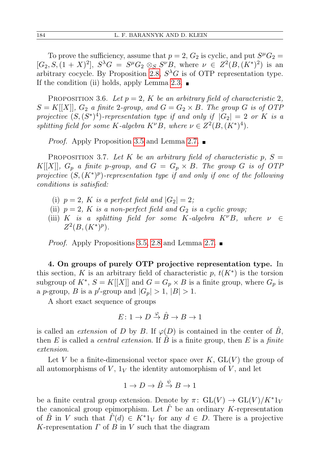To prove the sufficiency, assume that  $p = 2$ ,  $G_2$  is cyclic, and put  $S^{\mu}G_2 =$  $[G_2, S, (1 + X)^2], S^{\lambda}G = S^{\mu}G_2 \otimes_S S^{\nu}B$ , where  $\nu \in Z^2(B, (K^*)^2)$  is an arbitrary cocycle. By Proposition [2.8,](#page-7-1)  $S^{\lambda}G$  is of OTP representation type. If the condition (ii) holds, apply Lemma [2.3.](#page-5-4)  $\blacksquare$ 

PROPOSITION 3.6. Let  $p = 2$ , K be an arbitrary field of characteristic 2,  $S = K[[X]], G_2$  a finite 2-group, and  $G = G_2 \times B$ . The group G is of OTP projective  $(S, (S^*)^4)$ -representation type if and only if  $|G_2| = 2$  or K is a splitting field for some K-algebra  $K^{\nu}B$ , where  $\nu \in Z^2(B, (K^*)^4)$ .

*Proof.* Apply Proposition [3.5](#page-10-0) and Lemma [2.7.](#page-6-0) ■

PROPOSITION 3.7. Let K be an arbitrary field of characteristic  $p, S =$  $K[[X]], G_p$  a finite p-group, and  $G = G_p \times B$ . The group G is of OTP projective  $(S, (K^*)^p)$ -representation type if and only if one of the following conditions is satisfied:

- (i)  $p = 2$ , K is a perfect field and  $|G_2| = 2$ ;
- (ii)  $p = 2$ , K is a non-perfect field and  $G_2$  is a cyclic group;
- (iii) K is a splitting field for some K-algebra  $K^{\nu}B$ , where  $\nu \in$  $Z^2(B, (K^*)^p)$ .

*Proof.* Apply Propositions [3.5,](#page-10-0) [2.8](#page-7-1) and Lemma [2.7.](#page-6-0)  $\blacksquare$ 

4. On groups of purely OTP projective representation type. In this section, K is an arbitrary field of characteristic  $p, t(K^*)$  is the torsion subgroup of  $K^*, S = K[[X]]$  and  $G = G_p \times B$  is a finite group, where  $G_p$  is a p-group, B is a p'-group and  $|G_p| > 1$ ,  $|B| > 1$ .

A short exact sequence of groups

$$
E\colon 1\to D\stackrel{\varphi}{\to}\hat{B}\to B\to 1
$$

is called an *extension* of D by B. If  $\varphi(D)$  is contained in the center of B, then  $E$  is called a *central extension*. If  $B$  is a finite group, then  $E$  is a finite extension.

Let V be a finite-dimensional vector space over  $K$ ,  $GL(V)$  the group of all automorphisms of  $V$ ,  $1_V$  the identity automorphism of  $V$ , and let

$$
1 \to D \to \hat{B} \stackrel{\psi}{\to} B \to 1
$$

be a finite central group extension. Denote by  $\pi: GL(V) \to GL(V)/K^*1_V$ the canonical group epimorphism. Let  $\Gamma$  be an ordinary K-representation of B in V such that  $\Gamma(d) \in K^*1_V$  for any  $d \in D$ . There is a projective K-representation  $\Gamma$  of  $B$  in  $V$  such that the diagram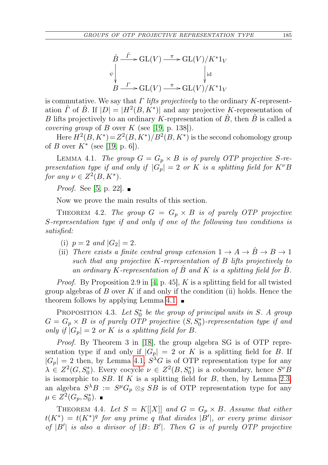$$
\hat{B} \xrightarrow{\hat{F}} \text{GL}(V) \xrightarrow{\pi} \text{GL}(V)/K^*1_V
$$
\n
$$
\downarrow \text{id}
$$
\n
$$
B \xrightarrow{\Gamma} \text{GL}(V) \xrightarrow{\pi} \text{GL}(V)/K^*1_V
$$

is commutative. We say that  $\Gamma$  lifts projectively to the ordinary K-representation  $\hat{\Gamma}$  of  $\hat{B}$ . If  $|D| = |H^2(B, K^*)|$  and any projective K-representation of B lifts projectively to an ordinary K-representation of  $\ddot{B}$ , then  $\ddot{B}$  is called a *covering group* of B over K (see [\[19,](#page-14-0) p. 138]).

Here  $H^2(B, K^*) = Z^2(B, K^*)/B^2(B, K^*)$  is the second cohomology group of *B* over  $K^*$  (see [\[19,](#page-14-0) p. 6]).

<span id="page-12-1"></span>LEMMA 4.1. The group  $G = G_p \times B$  is of purely OTP projective S-representation type if and only if  $|G_p| = 2$  or K is a splitting field for  $K^{\nu}B$ for any  $\nu \in Z^2(B, K^*)$ .

*Proof.* See [\[5,](#page-13-0) p. 22].  $\blacksquare$ 

Now we prove the main results of this section.

<span id="page-12-0"></span>THEOREM 4.2. The group  $G = G_p \times B$  is of purely OTP projective S-representation type if and only if one of the following two conditions is satisfied:

- (i)  $p = 2$  and  $|G_2| = 2$ .
- (ii) There exists a finite central group extension  $1 \rightarrow A \rightarrow \overline{B} \rightarrow B \rightarrow 1$ such that any projective K-representation of B lifts projectively to an ordinary K-representation of B and K is a splitting field for B.

*Proof.* By Proposition 2.9 in [\[4,](#page-13-9) p. 45], K is a splitting field for all twisted group algebras of B over K if and only if the condition (ii) holds. Hence the theorem follows by applying Lemma [4.1.](#page-12-1)  $\blacksquare$ 

PROPOSITION 4.3. Let  $S_0^*$  be the group of principal units in S. A group  $G = G_p \times B$  is of purely OTP projective  $(S, S_0^*)$ -representation type if and only if  $|G_p| = 2$  or K is a splitting field for B.

Proof. By Theorem 3 in [\[18\]](#page-14-1), the group algebra SG is of OTP representation type if and only if  $|G_p| = 2$  or K is a splitting field for B. If  $|G_p| = 2$  then, by Lemma [4.1,](#page-12-1)  $S^{\lambda}G$  is of OTP representation type for any  $\lambda \in Z^2(G, S_0^*)$ . Every cocycle  $\nu \in Z^2(B, S_0^*)$  is a coboundary, hence  $S^{\nu}B$ is isomorphic to  $SB$ . If  $K$  is a splitting field for  $B$ , then, by Lemma [2.3,](#page-5-4) an algebra  $S^{\lambda}B := S^{\mu}G_p \otimes_S SB$  is of OTP representation type for any  $\mu \in Z^2(G_p, S_0^*).$ 

THEOREM 4.4. Let  $S = K[[X]]$  and  $G = G_p \times B$ . Assume that either  $t(K^*) = t(K^*)^q$  for any prime q that divides  $|B'|$ , or every prime divisor of  $|B'|$  is also a divisor of  $|B: B'|$ . Then G is of purely OTP projective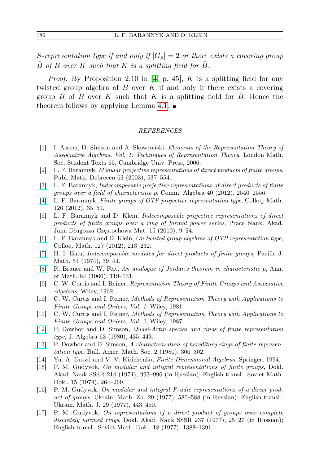S-representation type if and only if  $|G_p| = 2$  or there exists a covering group B of B over K such that K is a splitting field for B.

*Proof.* By Proposition 2.10 in [\[4,](#page-13-9) p. 45],  $K$  is a splitting field for any twisted group algebra of  $B$  over  $K$  if and only if there exists a covering group  $B$  of  $B$  over  $K$  such that  $K$  is a splitting field for  $B$ . Hence the theorem follows by applying Lemma [4.1.](#page-12-1)  $\blacksquare$ 

## REFERENCES

- <span id="page-13-13"></span>[1] I. Assem, D. Simson and A. Skowroński, Elements of the Representation Theory of Associative Algebras. Vol. 1: Techniques of Representation Theory, London Math. Soc. Student Texts 65, Cambridge Univ. Press, 2006.
- <span id="page-13-6"></span>[2] L. F. Barannyk, Modular projective representations of direct products of finite groups, Publ. Math. Debrecen 63 (2003), 537–554.
- <span id="page-13-8"></span>[\[3\]](http://dx.doi.org/10.1080/00927872.2011.581718) L. F. Barannyk, Indecomposable projective representations of direct products of finite groups over a field of characteristic p, Comm. Algebra 40 (2012), 2540–2556.
- <span id="page-13-9"></span>[\[4\]](http://dx.doi.org/10.4064/cm126-1-2) L. F. Barannyk, Finite groups of OTP projective representation type, Colloq. Math. 126 (2012), 35–51.
- <span id="page-13-0"></span>[5] L. F. Barannyk and D. Klein, Indecomposable projective representations of direct products of finite groups over a ring of formal power series, Prace Nauk. Akad. Jana Długosza Częstochowa Mat. 15 (2010), 9–24.
- <span id="page-13-7"></span>[\[6\]](http://dx.doi.org/10.4064/cm127-2-5) L. F. Barannyk and D. Klein, On twisted group algebras of OTP representation type, Colloq. Math. 127 (2012), 213–232.
- <span id="page-13-2"></span>[\[7\]](http://dx.doi.org/10.2140/pjm.1974.54.39) H. I. Blau, Indecomposable modules for direct products of finite groups, Pacific J. Math. 54 (1974), 39–44.
- <span id="page-13-1"></span>[\[8\]](http://dx.doi.org/10.2307/1970514) R. Brauer and W. Feit, An analogue of Jordan's theorem in characteristic p, Ann. of Math. 84 (1966), 119–131.
- <span id="page-13-10"></span>[9] C. W. Curtis and I. Reiner, Representation Theory of Finite Groups and Associative Algebras, Wiley, 1962.
- <span id="page-13-11"></span>[10] C. W. Curtis and I. Reiner, Methods of Representation Theory with Applications to Finite Groups and Orders, Vol. 1, Wiley, 1981.
- <span id="page-13-12"></span>[11] C. W. Curtis and I. Reiner, Methods of Representation Theory with Applications to Finite Groups and Orders, Vol. 2, Wiley, 1987.
- <span id="page-13-15"></span>[\[12\]](http://dx.doi.org/10.1016/0021-8693(80)90082-4) P. Dowbor and D. Simson, Quasi-Artin species and rings of finite representation type, J. Algebra 63 (1980), 435–443.
- <span id="page-13-16"></span>[\[13\]](http://dx.doi.org/10.1090/S0273-0979-1980-14741-2) P. Dowbor and D. Simson, A characterization of hereditary rings of finite representation type, Bull. Amer. Math. Soc. 2 (1980), 300–302.
- <span id="page-13-14"></span>[14] Yu. A. Drozd and V. V. Kirichenko, Finite Dimensional Algebras, Springer, 1994.
- <span id="page-13-3"></span>[15] P. M. Gudyvok, On modular and integral representations of finite groups, Dokl. Akad. Nauk SSSR 214 (1974), 993–996 (in Russian); English transl.: Soviet Math. Dokl. 15 (1974), 264–269.
- <span id="page-13-4"></span>[16] P. M. Gudyvok, On modular and integral P-adic representations of a direct product of groups, Ukrain. Math. Zh. 29 (1977), 580–588 (in Russian); English transl.: Ukrain. Math. J. 29 (1977), 443–450.
- <span id="page-13-5"></span>[17] P. M. Gudyvok, On representations of a direct product of groups over complete discretely normed rings, Dokl. Akad. Nauk SSSR 237 (1977), 25–27 (in Russian); English transl.: Soviet Math. Dokl. 18 (1977), 1388–1391.